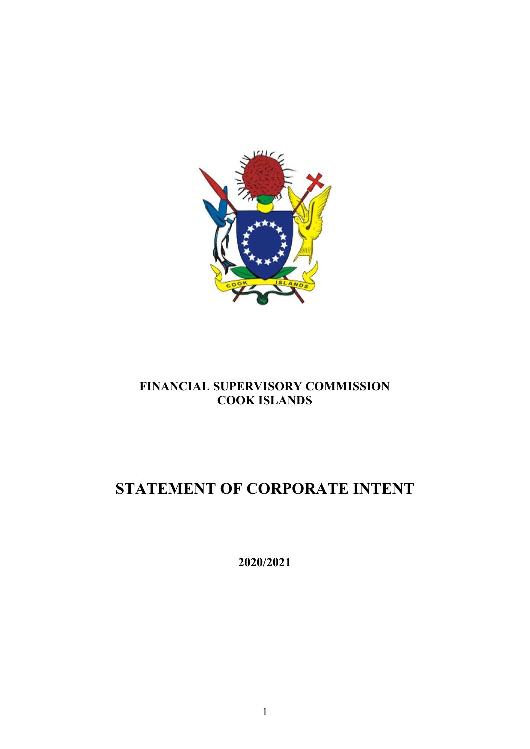

## **FINANCIAL SUPERVISORY COMMISSION COOK ISLANDS**

# **STATEMENT OF CORPORATE INTENT**

**2020/2021**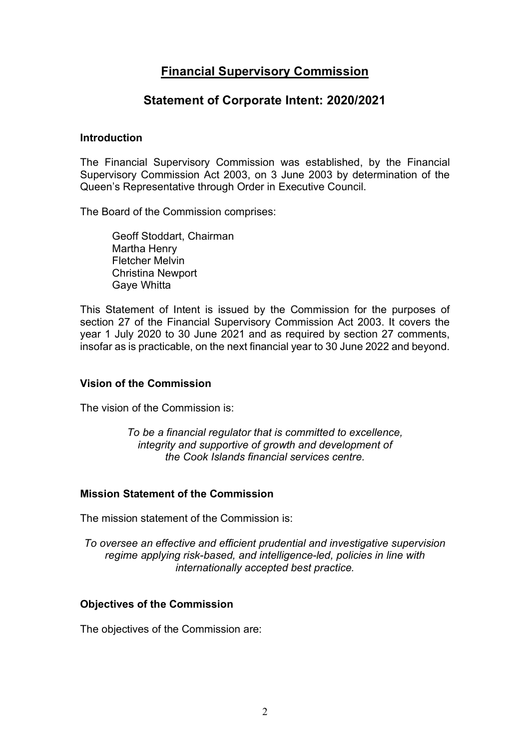## **Financial Supervisory Commission**

### **Statement of Corporate Intent: 2020/2021**

#### **Introduction**

The Financial Supervisory Commission was established, by the Financial Supervisory Commission Act 2003, on 3 June 2003 by determination of the Queen's Representative through Order in Executive Council.

The Board of the Commission comprises:

Geoff Stoddart, Chairman Martha Henry Fletcher Melvin Christina Newport Gaye Whitta

This Statement of Intent is issued by the Commission for the purposes of section 27 of the Financial Supervisory Commission Act 2003. It covers the year 1 July 2020 to 30 June 2021 and as required by section 27 comments, insofar as is practicable, on the next financial year to 30 June 2022 and beyond.

#### **Vision of the Commission**

The vision of the Commission is:

*To be a financial regulator that is committed to excellence, integrity and supportive of growth and development of the Cook Islands financial services centre.*

#### **Mission Statement of the Commission**

The mission statement of the Commission is:

*To oversee an effective and efficient prudential and investigative supervision regime applying risk-based, and intelligence-led, policies in line with internationally accepted best practice.*

#### **Objectives of the Commission**

The objectives of the Commission are: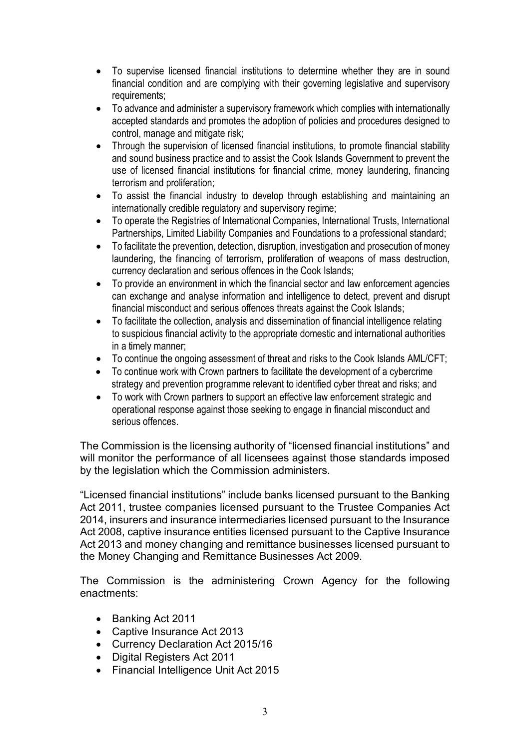- To supervise licensed financial institutions to determine whether they are in sound financial condition and are complying with their governing legislative and supervisory requirements;
- To advance and administer a supervisory framework which complies with internationally accepted standards and promotes the adoption of policies and procedures designed to control, manage and mitigate risk;
- Through the supervision of licensed financial institutions, to promote financial stability and sound business practice and to assist the Cook Islands Government to prevent the use of licensed financial institutions for financial crime, money laundering, financing terrorism and proliferation;
- To assist the financial industry to develop through establishing and maintaining an internationally credible regulatory and supervisory regime;
- To operate the Registries of International Companies, International Trusts, International Partnerships, Limited Liability Companies and Foundations to a professional standard;
- To facilitate the prevention, detection, disruption, investigation and prosecution of money laundering, the financing of terrorism, proliferation of weapons of mass destruction, currency declaration and serious offences in the Cook Islands;
- To provide an environment in which the financial sector and law enforcement agencies can exchange and analyse information and intelligence to detect, prevent and disrupt financial misconduct and serious offences threats against the Cook Islands;
- To facilitate the collection, analysis and dissemination of financial intelligence relating to suspicious financial activity to the appropriate domestic and international authorities in a timely manner;
- To continue the ongoing assessment of threat and risks to the Cook Islands AML/CFT;
- To continue work with Crown partners to facilitate the development of a cybercrime strategy and prevention programme relevant to identified cyber threat and risks; and
- To work with Crown partners to support an effective law enforcement strategic and operational response against those seeking to engage in financial misconduct and serious offences.

The Commission is the licensing authority of "licensed financial institutions" and will monitor the performance of all licensees against those standards imposed by the legislation which the Commission administers.

"Licensed financial institutions" include banks licensed pursuant to the Banking Act 2011, trustee companies licensed pursuant to the Trustee Companies Act 2014, insurers and insurance intermediaries licensed pursuant to the Insurance Act 2008, captive insurance entities licensed pursuant to the Captive Insurance Act 2013 and money changing and remittance businesses licensed pursuant to the Money Changing and Remittance Businesses Act 2009.

The Commission is the administering Crown Agency for the following enactments:

- Banking Act 2011
- Captive Insurance Act 2013
- Currency Declaration Act 2015/16
- Digital Registers Act 2011
- Financial Intelligence Unit Act 2015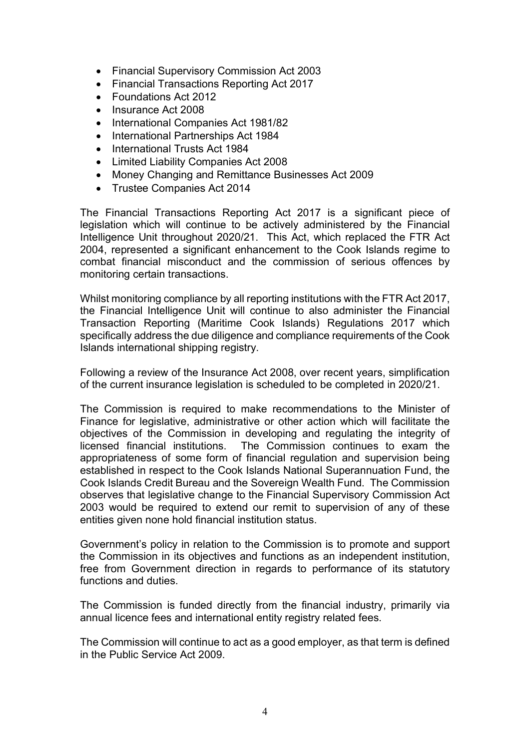- Financial Supervisory Commission Act 2003
- Financial Transactions Reporting Act 2017
- Foundations Act 2012
- Insurance Act 2008
- International Companies Act 1981/82
- International Partnerships Act 1984
- International Trusts Act 1984
- Limited Liability Companies Act 2008
- Money Changing and Remittance Businesses Act 2009
- Trustee Companies Act 2014

The Financial Transactions Reporting Act 2017 is a significant piece of legislation which will continue to be actively administered by the Financial Intelligence Unit throughout 2020/21. This Act, which replaced the FTR Act 2004, represented a significant enhancement to the Cook Islands regime to combat financial misconduct and the commission of serious offences by monitoring certain transactions.

Whilst monitoring compliance by all reporting institutions with the FTR Act 2017, the Financial Intelligence Unit will continue to also administer the Financial Transaction Reporting (Maritime Cook Islands) Regulations 2017 which specifically address the due diligence and compliance requirements of the Cook Islands international shipping registry.

Following a review of the Insurance Act 2008, over recent years, simplification of the current insurance legislation is scheduled to be completed in 2020/21.

The Commission is required to make recommendations to the Minister of Finance for legislative, administrative or other action which will facilitate the objectives of the Commission in developing and regulating the integrity of licensed financial institutions. The Commission continues to exam the appropriateness of some form of financial regulation and supervision being established in respect to the Cook Islands National Superannuation Fund, the Cook Islands Credit Bureau and the Sovereign Wealth Fund. The Commission observes that legislative change to the Financial Supervisory Commission Act 2003 would be required to extend our remit to supervision of any of these entities given none hold financial institution status.

Government's policy in relation to the Commission is to promote and support the Commission in its objectives and functions as an independent institution, free from Government direction in regards to performance of its statutory functions and duties.

The Commission is funded directly from the financial industry, primarily via annual licence fees and international entity registry related fees.

The Commission will continue to act as a good employer, as that term is defined in the Public Service Act 2009.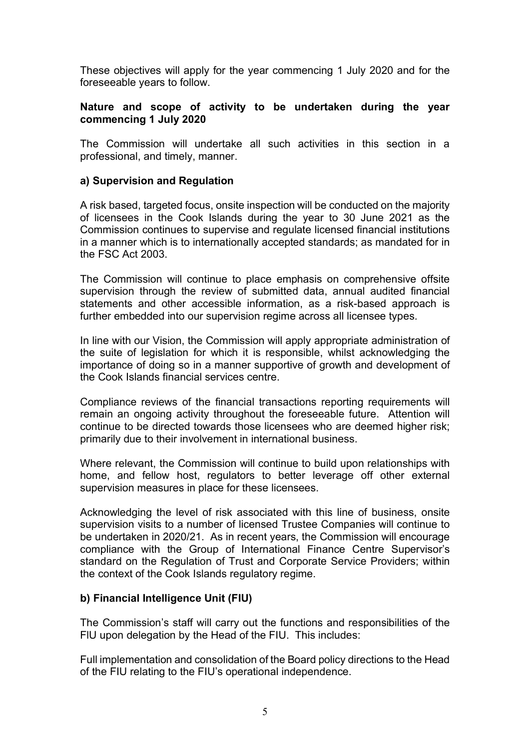These objectives will apply for the year commencing 1 July 2020 and for the foreseeable years to follow.

#### **Nature and scope of activity to be undertaken during the year commencing 1 July 2020**

The Commission will undertake all such activities in this section in a professional, and timely, manner.

#### **a) Supervision and Regulation**

A risk based, targeted focus, onsite inspection will be conducted on the majority of licensees in the Cook Islands during the year to 30 June 2021 as the Commission continues to supervise and regulate licensed financial institutions in a manner which is to internationally accepted standards; as mandated for in the FSC Act 2003.

The Commission will continue to place emphasis on comprehensive offsite supervision through the review of submitted data, annual audited financial statements and other accessible information, as a risk-based approach is further embedded into our supervision regime across all licensee types.

In line with our Vision, the Commission will apply appropriate administration of the suite of legislation for which it is responsible, whilst acknowledging the importance of doing so in a manner supportive of growth and development of the Cook Islands financial services centre.

Compliance reviews of the financial transactions reporting requirements will remain an ongoing activity throughout the foreseeable future. Attention will continue to be directed towards those licensees who are deemed higher risk; primarily due to their involvement in international business.

Where relevant, the Commission will continue to build upon relationships with home, and fellow host, regulators to better leverage off other external supervision measures in place for these licensees.

Acknowledging the level of risk associated with this line of business, onsite supervision visits to a number of licensed Trustee Companies will continue to be undertaken in 2020/21. As in recent years, the Commission will encourage compliance with the Group of International Finance Centre Supervisor's standard on the Regulation of Trust and Corporate Service Providers; within the context of the Cook Islands regulatory regime.

#### **b) Financial Intelligence Unit (FIU)**

The Commission's staff will carry out the functions and responsibilities of the FlU upon delegation by the Head of the FIU. This includes:

Full implementation and consolidation of the Board policy directions to the Head of the FIU relating to the FIU's operational independence.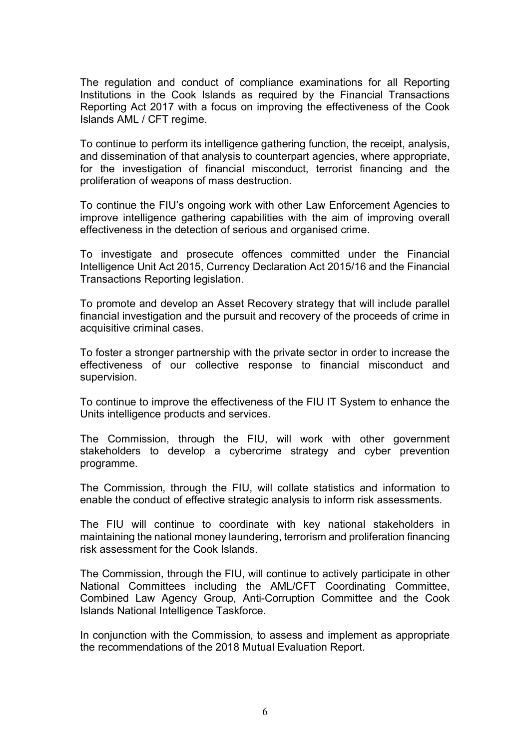The regulation and conduct of compliance examinations for all Reporting Institutions in the Cook Islands as required by the Financial Transactions Reporting Act 2017 with a focus on improving the effectiveness of the Cook Islands AML / CFT regime.

To continue to perform its intelligence gathering function, the receipt, analysis, and dissemination of that analysis to counterpart agencies, where appropriate, for the investigation of financial misconduct, terrorist financing and the proliferation of weapons of mass destruction.

To continue the FIU's ongoing work with other Law Enforcement Agencies to improve intelligence gathering capabilities with the aim of improving overall effectiveness in the detection of serious and organised crime.

To investigate and prosecute offences committed under the Financial Intelligence Unit Act 2015, Currency Declaration Act 2015/16 and the Financial Transactions Reporting legislation.

To promote and develop an Asset Recovery strategy that will include parallel financial investigation and the pursuit and recovery of the proceeds of crime in acquisitive criminal cases.

To foster a stronger partnership with the private sector in order to increase the effectiveness of our collective response to financial misconduct and supervision.

To continue to improve the effectiveness of the FIU IT System to enhance the Units intelligence products and services.

The Commission, through the FIU, will work with other government stakeholders to develop a cybercrime strategy and cyber prevention programme.

The Commission, through the FIU, will collate statistics and information to enable the conduct of effective strategic analysis to inform risk assessments.

The FIU will continue to coordinate with key national stakeholders in maintaining the national money laundering, terrorism and proliferation financing risk assessment for the Cook Islands.

The Commission, through the FIU, will continue to actively participate in other National Committees including the AML/CFT Coordinating Committee, Combined Law Agency Group, Anti-Corruption Committee and the Cook Islands National Intelligence Taskforce.

In conjunction with the Commission, to assess and implement as appropriate the recommendations of the 2018 Mutual Evaluation Report.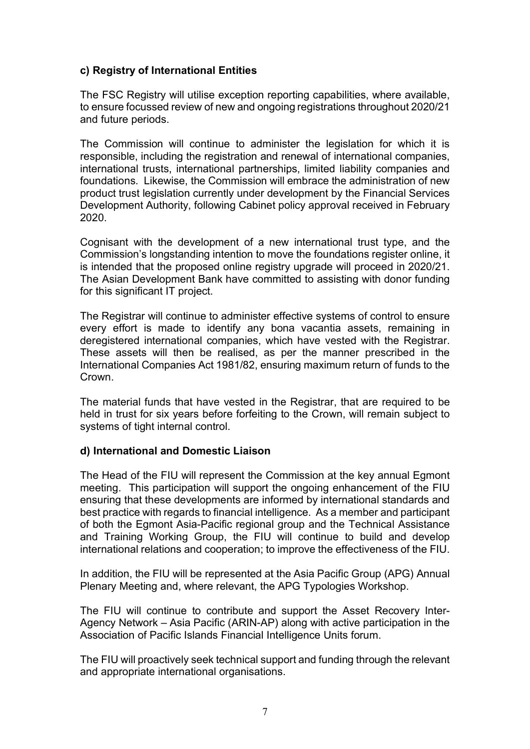#### **c) Registry of International Entities**

The FSC Registry will utilise exception reporting capabilities, where available, to ensure focussed review of new and ongoing registrations throughout 2020/21 and future periods.

The Commission will continue to administer the legislation for which it is responsible, including the registration and renewal of international companies, international trusts, international partnerships, limited liability companies and foundations. Likewise, the Commission will embrace the administration of new product trust legislation currently under development by the Financial Services Development Authority, following Cabinet policy approval received in February 2020.

Cognisant with the development of a new international trust type, and the Commission's longstanding intention to move the foundations register online, it is intended that the proposed online registry upgrade will proceed in 2020/21. The Asian Development Bank have committed to assisting with donor funding for this significant IT project.

The Registrar will continue to administer effective systems of control to ensure every effort is made to identify any bona vacantia assets, remaining in deregistered international companies, which have vested with the Registrar. These assets will then be realised, as per the manner prescribed in the International Companies Act 1981/82, ensuring maximum return of funds to the Crown.

The material funds that have vested in the Registrar, that are required to be held in trust for six years before forfeiting to the Crown, will remain subject to systems of tight internal control.

#### **d) International and Domestic Liaison**

The Head of the FIU will represent the Commission at the key annual Egmont meeting. This participation will support the ongoing enhancement of the FIU ensuring that these developments are informed by international standards and best practice with regards to financial intelligence. As a member and participant of both the Egmont Asia-Pacific regional group and the Technical Assistance and Training Working Group, the FIU will continue to build and develop international relations and cooperation; to improve the effectiveness of the FIU.

In addition, the FIU will be represented at the Asia Pacific Group (APG) Annual Plenary Meeting and, where relevant, the APG Typologies Workshop.

The FIU will continue to contribute and support the Asset Recovery Inter-Agency Network – Asia Pacific (ARIN-AP) along with active participation in the Association of Pacific Islands Financial Intelligence Units forum.

The FIU will proactively seek technical support and funding through the relevant and appropriate international organisations.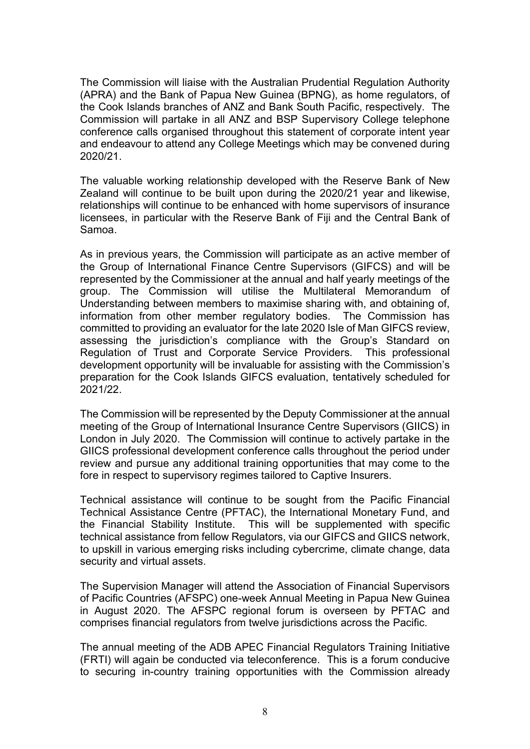The Commission will liaise with the Australian Prudential Regulation Authority (APRA) and the Bank of Papua New Guinea (BPNG), as home regulators, of the Cook Islands branches of ANZ and Bank South Pacific, respectively. The Commission will partake in all ANZ and BSP Supervisory College telephone conference calls organised throughout this statement of corporate intent year and endeavour to attend any College Meetings which may be convened during 2020/21.

The valuable working relationship developed with the Reserve Bank of New Zealand will continue to be built upon during the 2020/21 year and likewise, relationships will continue to be enhanced with home supervisors of insurance licensees, in particular with the Reserve Bank of Fiji and the Central Bank of Samoa.

As in previous years, the Commission will participate as an active member of the Group of International Finance Centre Supervisors (GIFCS) and will be represented by the Commissioner at the annual and half yearly meetings of the group. The Commission will utilise the Multilateral Memorandum of Understanding between members to maximise sharing with, and obtaining of, information from other member regulatory bodies. The Commission has committed to providing an evaluator for the late 2020 Isle of Man GIFCS review, assessing the jurisdiction's compliance with the Group's Standard on Regulation of Trust and Corporate Service Providers. This professional development opportunity will be invaluable for assisting with the Commission's preparation for the Cook Islands GIFCS evaluation, tentatively scheduled for 2021/22.

The Commission will be represented by the Deputy Commissioner at the annual meeting of the Group of International Insurance Centre Supervisors (GIICS) in London in July 2020. The Commission will continue to actively partake in the GIICS professional development conference calls throughout the period under review and pursue any additional training opportunities that may come to the fore in respect to supervisory regimes tailored to Captive Insurers.

Technical assistance will continue to be sought from the Pacific Financial Technical Assistance Centre (PFTAC), the International Monetary Fund, and the Financial Stability Institute. This will be supplemented with specific technical assistance from fellow Regulators, via our GIFCS and GIICS network, to upskill in various emerging risks including cybercrime, climate change, data security and virtual assets.

The Supervision Manager will attend the Association of Financial Supervisors of Pacific Countries (AFSPC) one-week Annual Meeting in Papua New Guinea in August 2020. The AFSPC regional forum is overseen by PFTAC and comprises financial regulators from twelve jurisdictions across the Pacific.

The annual meeting of the ADB APEC Financial Regulators Training Initiative (FRTI) will again be conducted via teleconference. This is a forum conducive to securing in-country training opportunities with the Commission already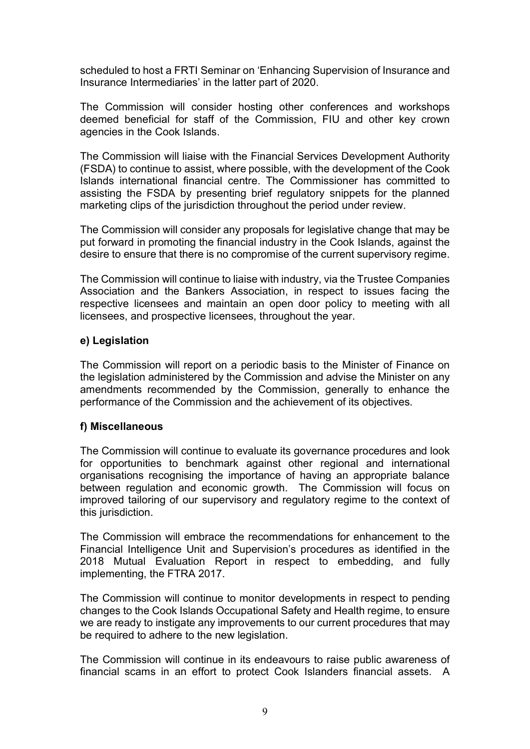scheduled to host a FRTI Seminar on 'Enhancing Supervision of Insurance and Insurance Intermediaries' in the latter part of 2020.

The Commission will consider hosting other conferences and workshops deemed beneficial for staff of the Commission, FIU and other key crown agencies in the Cook Islands.

The Commission will liaise with the Financial Services Development Authority (FSDA) to continue to assist, where possible, with the development of the Cook Islands international financial centre. The Commissioner has committed to assisting the FSDA by presenting brief regulatory snippets for the planned marketing clips of the jurisdiction throughout the period under review.

The Commission will consider any proposals for legislative change that may be put forward in promoting the financial industry in the Cook Islands, against the desire to ensure that there is no compromise of the current supervisory regime.

The Commission will continue to liaise with industry, via the Trustee Companies Association and the Bankers Association, in respect to issues facing the respective licensees and maintain an open door policy to meeting with all licensees, and prospective licensees, throughout the year.

#### **e) Legislation**

The Commission will report on a periodic basis to the Minister of Finance on the legislation administered by the Commission and advise the Minister on any amendments recommended by the Commission, generally to enhance the performance of the Commission and the achievement of its objectives.

#### **f) Miscellaneous**

The Commission will continue to evaluate its governance procedures and look for opportunities to benchmark against other regional and international organisations recognising the importance of having an appropriate balance between regulation and economic growth. The Commission will focus on improved tailoring of our supervisory and regulatory regime to the context of this jurisdiction.

The Commission will embrace the recommendations for enhancement to the Financial Intelligence Unit and Supervision's procedures as identified in the 2018 Mutual Evaluation Report in respect to embedding, and fully implementing, the FTRA 2017.

The Commission will continue to monitor developments in respect to pending changes to the Cook Islands Occupational Safety and Health regime, to ensure we are ready to instigate any improvements to our current procedures that may be required to adhere to the new legislation.

The Commission will continue in its endeavours to raise public awareness of financial scams in an effort to protect Cook Islanders financial assets. A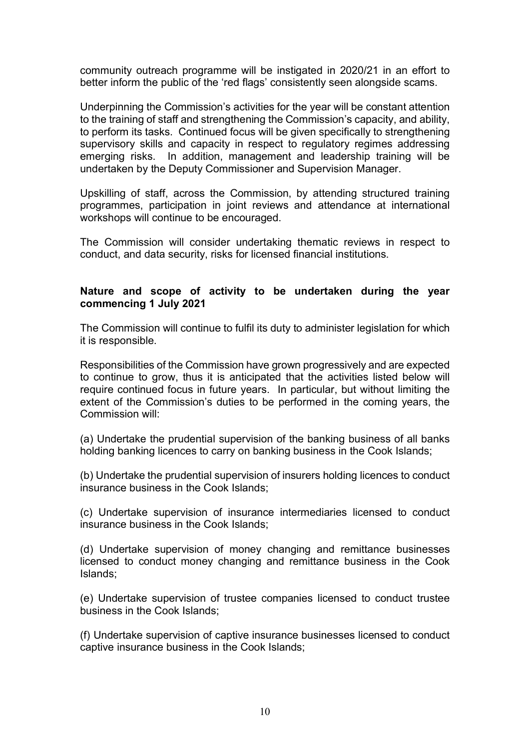community outreach programme will be instigated in 2020/21 in an effort to better inform the public of the 'red flags' consistently seen alongside scams.

Underpinning the Commission's activities for the year will be constant attention to the training of staff and strengthening the Commission's capacity, and ability, to perform its tasks. Continued focus will be given specifically to strengthening supervisory skills and capacity in respect to regulatory regimes addressing emerging risks. In addition, management and leadership training will be undertaken by the Deputy Commissioner and Supervision Manager.

Upskilling of staff, across the Commission, by attending structured training programmes, participation in joint reviews and attendance at international workshops will continue to be encouraged.

The Commission will consider undertaking thematic reviews in respect to conduct, and data security, risks for licensed financial institutions.

#### **Nature and scope of activity to be undertaken during the year commencing 1 July 2021**

The Commission will continue to fulfil its duty to administer legislation for which it is responsible.

Responsibilities of the Commission have grown progressively and are expected to continue to grow, thus it is anticipated that the activities listed below will require continued focus in future years. In particular, but without limiting the extent of the Commission's duties to be performed in the coming years, the Commission will:

(a) Undertake the prudential supervision of the banking business of all banks holding banking licences to carry on banking business in the Cook Islands;

(b) Undertake the prudential supervision of insurers holding licences to conduct insurance business in the Cook Islands;

(c) Undertake supervision of insurance intermediaries licensed to conduct insurance business in the Cook Islands;

(d) Undertake supervision of money changing and remittance businesses licensed to conduct money changing and remittance business in the Cook Islands;

(e) Undertake supervision of trustee companies licensed to conduct trustee business in the Cook Islands;

(f) Undertake supervision of captive insurance businesses licensed to conduct captive insurance business in the Cook Islands;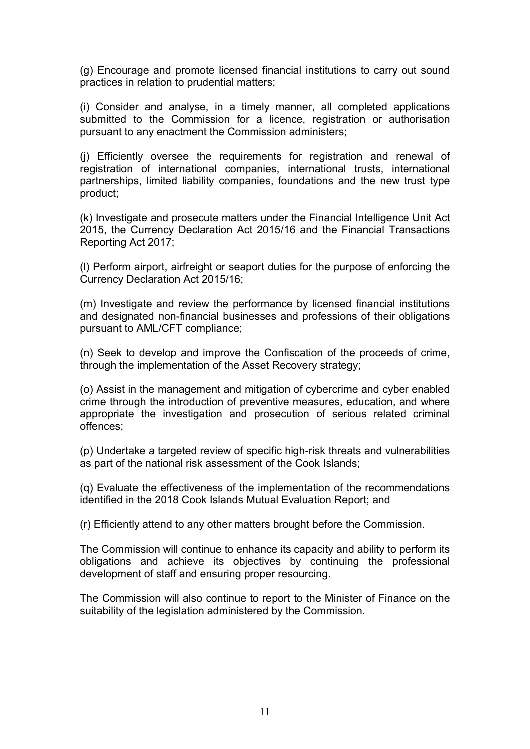(g) Encourage and promote licensed financial institutions to carry out sound practices in relation to prudential matters;

(i) Consider and analyse, in a timely manner, all completed applications submitted to the Commission for a licence, registration or authorisation pursuant to any enactment the Commission administers;

(j) Efficiently oversee the requirements for registration and renewal of registration of international companies, international trusts, international partnerships, limited liability companies, foundations and the new trust type product;

(k) Investigate and prosecute matters under the Financial Intelligence Unit Act 2015, the Currency Declaration Act 2015/16 and the Financial Transactions Reporting Act 2017;

(l) Perform airport, airfreight or seaport duties for the purpose of enforcing the Currency Declaration Act 2015/16;

(m) Investigate and review the performance by licensed financial institutions and designated non-financial businesses and professions of their obligations pursuant to AML/CFT compliance;

(n) Seek to develop and improve the Confiscation of the proceeds of crime, through the implementation of the Asset Recovery strategy;

(o) Assist in the management and mitigation of cybercrime and cyber enabled crime through the introduction of preventive measures, education, and where appropriate the investigation and prosecution of serious related criminal offences;

(p) Undertake a targeted review of specific high-risk threats and vulnerabilities as part of the national risk assessment of the Cook Islands;

(q) Evaluate the effectiveness of the implementation of the recommendations identified in the 2018 Cook Islands Mutual Evaluation Report; and

(r) Efficiently attend to any other matters brought before the Commission.

The Commission will continue to enhance its capacity and ability to perform its obligations and achieve its objectives by continuing the professional development of staff and ensuring proper resourcing.

The Commission will also continue to report to the Minister of Finance on the suitability of the legislation administered by the Commission.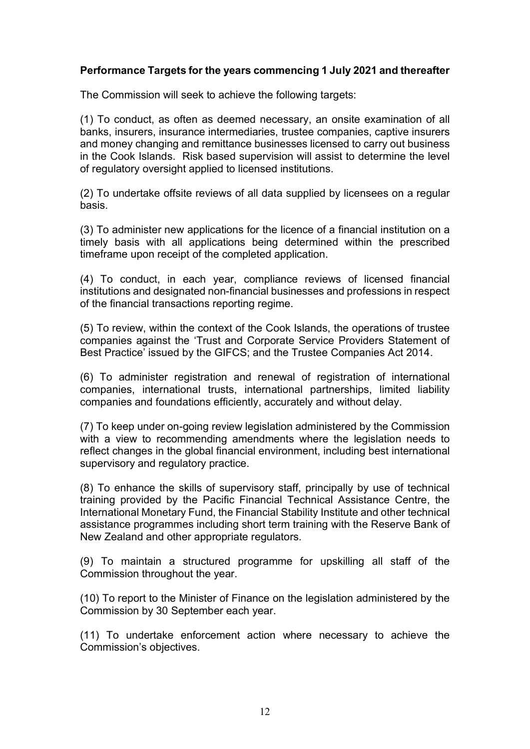#### **Performance Targets for the years commencing 1 July 2021 and thereafter**

The Commission will seek to achieve the following targets:

(1) To conduct, as often as deemed necessary, an onsite examination of all banks, insurers, insurance intermediaries, trustee companies, captive insurers and money changing and remittance businesses licensed to carry out business in the Cook Islands. Risk based supervision will assist to determine the level of regulatory oversight applied to licensed institutions.

(2) To undertake offsite reviews of all data supplied by licensees on a regular basis.

(3) To administer new applications for the licence of a financial institution on a timely basis with all applications being determined within the prescribed timeframe upon receipt of the completed application.

(4) To conduct, in each year, compliance reviews of licensed financial institutions and designated non-financial businesses and professions in respect of the financial transactions reporting regime.

(5) To review, within the context of the Cook Islands, the operations of trustee companies against the 'Trust and Corporate Service Providers Statement of Best Practice' issued by the GIFCS; and the Trustee Companies Act 2014.

(6) To administer registration and renewal of registration of international companies, international trusts, international partnerships, limited liability companies and foundations efficiently, accurately and without delay.

(7) To keep under on-going review legislation administered by the Commission with a view to recommending amendments where the legislation needs to reflect changes in the global financial environment, including best international supervisory and regulatory practice.

(8) To enhance the skills of supervisory staff, principally by use of technical training provided by the Pacific Financial Technical Assistance Centre, the International Monetary Fund, the Financial Stability Institute and other technical assistance programmes including short term training with the Reserve Bank of New Zealand and other appropriate regulators.

(9) To maintain a structured programme for upskilling all staff of the Commission throughout the year.

(10) To report to the Minister of Finance on the legislation administered by the Commission by 30 September each year.

(11) To undertake enforcement action where necessary to achieve the Commission's objectives.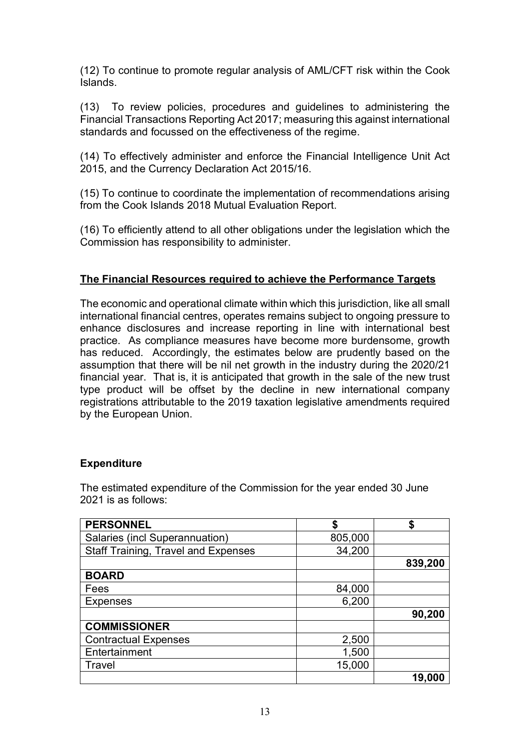(12) To continue to promote regular analysis of AML/CFT risk within the Cook Islands.

(13) To review policies, procedures and guidelines to administering the Financial Transactions Reporting Act 2017; measuring this against international standards and focussed on the effectiveness of the regime.

(14) To effectively administer and enforce the Financial Intelligence Unit Act 2015, and the Currency Declaration Act 2015/16.

(15) To continue to coordinate the implementation of recommendations arising from the Cook Islands 2018 Mutual Evaluation Report.

(16) To efficiently attend to all other obligations under the legislation which the Commission has responsibility to administer.

#### **The Financial Resources required to achieve the Performance Targets**

The economic and operational climate within which this jurisdiction, like all small international financial centres, operates remains subject to ongoing pressure to enhance disclosures and increase reporting in line with international best practice. As compliance measures have become more burdensome, growth has reduced. Accordingly, the estimates below are prudently based on the assumption that there will be nil net growth in the industry during the 2020/21 financial year. That is, it is anticipated that growth in the sale of the new trust type product will be offset by the decline in new international company registrations attributable to the 2019 taxation legislative amendments required by the European Union.

#### **Expenditure**

The estimated expenditure of the Commission for the year ended 30 June 2021 is as follows:

| <b>PERSONNEL</b>                           | S       |         |
|--------------------------------------------|---------|---------|
| Salaries (incl Superannuation)             | 805,000 |         |
| <b>Staff Training, Travel and Expenses</b> | 34,200  |         |
|                                            |         | 839,200 |
| <b>BOARD</b>                               |         |         |
| Fees                                       | 84,000  |         |
| <b>Expenses</b>                            | 6,200   |         |
|                                            |         | 90,200  |
| <b>COMMISSIONER</b>                        |         |         |
| <b>Contractual Expenses</b>                | 2,500   |         |
| Entertainment                              | 1,500   |         |
| <b>Travel</b>                              | 15,000  |         |
|                                            |         | 19,000  |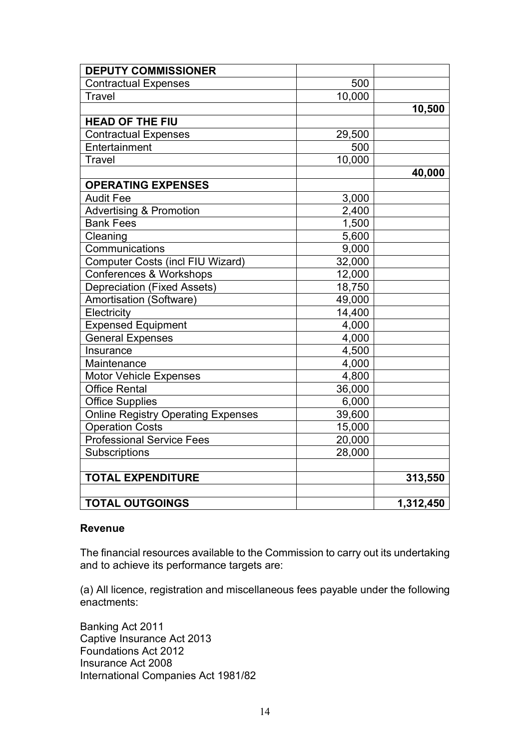| <b>DEPUTY COMMISSIONER</b>                |        |           |
|-------------------------------------------|--------|-----------|
| <b>Contractual Expenses</b>               | 500    |           |
| <b>Travel</b>                             | 10,000 |           |
|                                           |        | 10,500    |
| <b>HEAD OF THE FIU</b>                    |        |           |
| <b>Contractual Expenses</b>               | 29,500 |           |
| Entertainment                             | 500    |           |
| Travel                                    | 10,000 |           |
|                                           |        | 40,000    |
| <b>OPERATING EXPENSES</b>                 |        |           |
| <b>Audit Fee</b>                          | 3,000  |           |
| Advertising & Promotion                   | 2,400  |           |
| <b>Bank Fees</b>                          | 1,500  |           |
| Cleaning                                  | 5,600  |           |
| Communications                            | 9,000  |           |
| <b>Computer Costs (incl FIU Wizard)</b>   | 32,000 |           |
| Conferences & Workshops                   | 12,000 |           |
| <b>Depreciation (Fixed Assets)</b>        | 18,750 |           |
| Amortisation (Software)                   | 49,000 |           |
| Electricity                               | 14,400 |           |
| <b>Expensed Equipment</b>                 | 4,000  |           |
| <b>General Expenses</b>                   | 4,000  |           |
| Insurance                                 | 4,500  |           |
| Maintenance                               | 4,000  |           |
| <b>Motor Vehicle Expenses</b>             | 4,800  |           |
| <b>Office Rental</b>                      | 36,000 |           |
| Office Supplies                           | 6,000  |           |
| <b>Online Registry Operating Expenses</b> | 39,600 |           |
| <b>Operation Costs</b>                    | 15,000 |           |
| <b>Professional Service Fees</b>          | 20,000 |           |
| Subscriptions                             | 28,000 |           |
|                                           |        |           |
| <b>TOTAL EXPENDITURE</b>                  |        | 313,550   |
|                                           |        |           |
| <b>TOTAL OUTGOINGS</b>                    |        | 1,312,450 |

#### **Revenue**

The financial resources available to the Commission to carry out its undertaking and to achieve its performance targets are:

(a) All licence, registration and miscellaneous fees payable under the following enactments:

Banking Act 2011 Captive Insurance Act 2013 Foundations Act 2012 Insurance Act 2008 International Companies Act 1981/82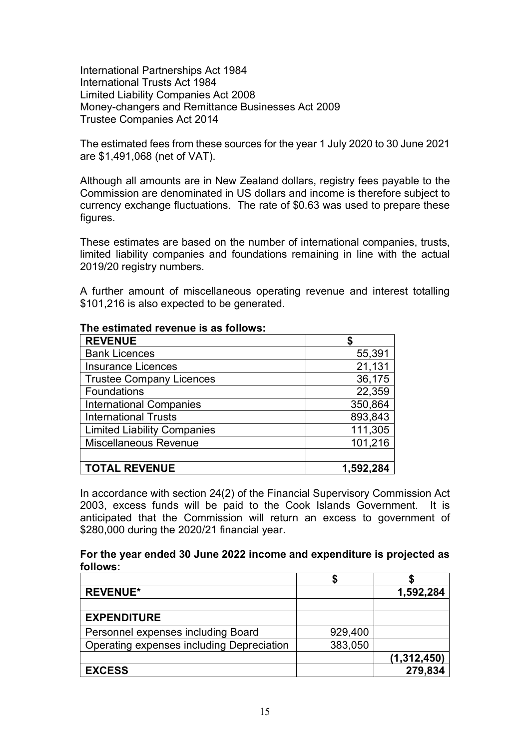International Partnerships Act 1984 International Trusts Act 1984 Limited Liability Companies Act 2008 Money-changers and Remittance Businesses Act 2009 Trustee Companies Act 2014

The estimated fees from these sources for the year 1 July 2020 to 30 June 2021 are \$1,491,068 (net of VAT).

Although all amounts are in New Zealand dollars, registry fees payable to the Commission are denominated in US dollars and income is therefore subject to currency exchange fluctuations. The rate of \$0.63 was used to prepare these figures.

These estimates are based on the number of international companies, trusts, limited liability companies and foundations remaining in line with the actual 2019/20 registry numbers.

A further amount of miscellaneous operating revenue and interest totalling \$101,216 is also expected to be generated.

| <b>REVENUE</b>                     |           |
|------------------------------------|-----------|
| <b>Bank Licences</b>               | 55,391    |
| <b>Insurance Licences</b>          | 21,131    |
| <b>Trustee Company Licences</b>    | 36,175    |
| <b>Foundations</b>                 | 22,359    |
| <b>International Companies</b>     | 350,864   |
| <b>International Trusts</b>        | 893,843   |
| <b>Limited Liability Companies</b> | 111,305   |
| <b>Miscellaneous Revenue</b>       | 101,216   |
|                                    |           |
| <b>TOTAL REVENUE</b>               | 1,592,284 |

#### **The estimated revenue is as follows:**

In accordance with section 24(2) of the Financial Supervisory Commission Act 2003, excess funds will be paid to the Cook Islands Government. It is anticipated that the Commission will return an excess to government of \$280,000 during the 2020/21 financial year.

#### **For the year ended 30 June 2022 income and expenditure is projected as follows:**

| <b>REVENUE*</b>                           |         | 1,592,284     |
|-------------------------------------------|---------|---------------|
|                                           |         |               |
| <b>EXPENDITURE</b>                        |         |               |
| Personnel expenses including Board        | 929,400 |               |
| Operating expenses including Depreciation | 383,050 |               |
|                                           |         | (1, 312, 450) |
| <b>EXCESS</b>                             |         | 279,834       |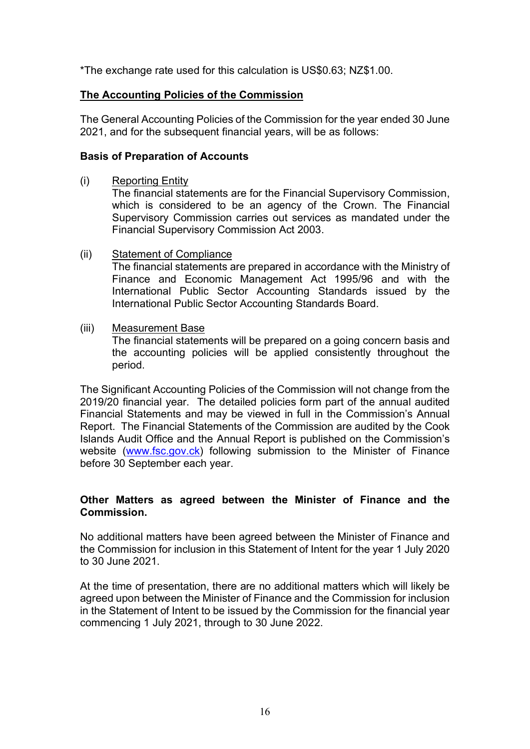\*The exchange rate used for this calculation is US\$0.63; NZ\$1.00.

#### **The Accounting Policies of the Commission**

The General Accounting Policies of the Commission for the year ended 30 June 2021, and for the subsequent financial years, will be as follows:

#### **Basis of Preparation of Accounts**

(i) Reporting Entity

The financial statements are for the Financial Supervisory Commission, which is considered to be an agency of the Crown. The Financial Supervisory Commission carries out services as mandated under the Financial Supervisory Commission Act 2003.

(ii) Statement of Compliance

The financial statements are prepared in accordance with the Ministry of Finance and Economic Management Act 1995/96 and with the International Public Sector Accounting Standards issued by the International Public Sector Accounting Standards Board.

(iii) Measurement Base

The financial statements will be prepared on a going concern basis and the accounting policies will be applied consistently throughout the period.

The Significant Accounting Policies of the Commission will not change from the 2019/20 financial year. The detailed policies form part of the annual audited Financial Statements and may be viewed in full in the Commission's Annual Report. The Financial Statements of the Commission are audited by the Cook Islands Audit Office and the Annual Report is published on the Commission's website (www.fsc.gov.ck) following submission to the Minister of Finance before 30 September each year.

#### **Other Matters as agreed between the Minister of Finance and the Commission.**

No additional matters have been agreed between the Minister of Finance and the Commission for inclusion in this Statement of Intent for the year 1 July 2020 to 30 June 2021.

At the time of presentation, there are no additional matters which will likely be agreed upon between the Minister of Finance and the Commission for inclusion in the Statement of Intent to be issued by the Commission for the financial year commencing 1 July 2021, through to 30 June 2022.